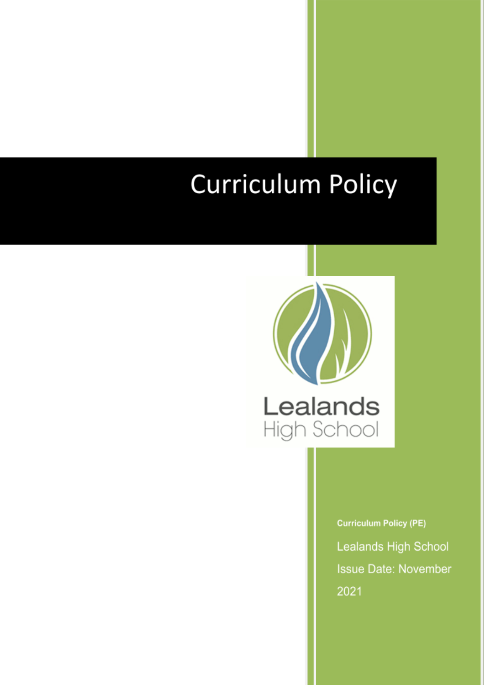# **Curriculum Policy**



**Curriculum Policy (PE)** Lealands High School **Issue Date: November** 2021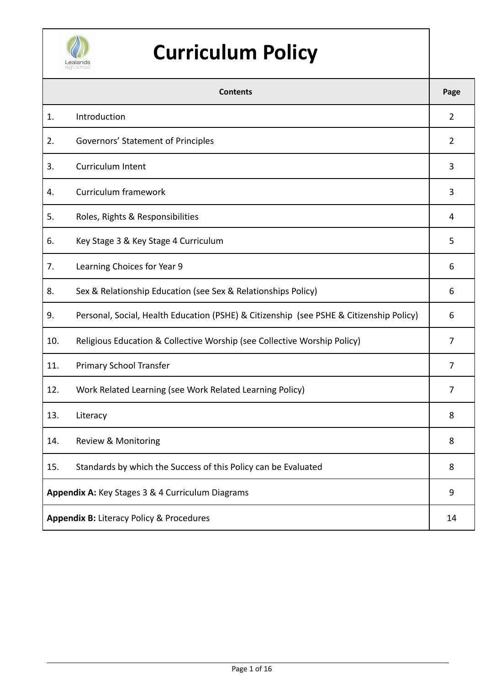

# **Curriculum Policy**

| <b>Contents</b>                                     |                                                                                         |                |  |
|-----------------------------------------------------|-----------------------------------------------------------------------------------------|----------------|--|
| 1.                                                  | Introduction                                                                            | $\overline{2}$ |  |
| 2.                                                  | Governors' Statement of Principles                                                      | $\overline{2}$ |  |
| 3.                                                  | <b>Curriculum Intent</b>                                                                | 3              |  |
| 4.                                                  | Curriculum framework                                                                    | 3              |  |
| 5.                                                  | Roles, Rights & Responsibilities                                                        | 4              |  |
| 6.                                                  | Key Stage 3 & Key Stage 4 Curriculum                                                    | 5              |  |
| 7.                                                  | Learning Choices for Year 9                                                             | 6              |  |
| 8.                                                  | Sex & Relationship Education (see Sex & Relationships Policy)                           | 6              |  |
| 9.                                                  | Personal, Social, Health Education (PSHE) & Citizenship (see PSHE & Citizenship Policy) | 6              |  |
| 10.                                                 | Religious Education & Collective Worship (see Collective Worship Policy)                | 7              |  |
| 11.                                                 | Primary School Transfer                                                                 | 7              |  |
| 12.                                                 | Work Related Learning (see Work Related Learning Policy)                                | 7              |  |
| 13.                                                 | Literacy                                                                                | 8              |  |
| 14.                                                 | Review & Monitoring                                                                     | 8              |  |
| 15.                                                 | Standards by which the Success of this Policy can be Evaluated                          | 8              |  |
| Appendix A: Key Stages 3 & 4 Curriculum Diagrams    |                                                                                         |                |  |
| <b>Appendix B: Literacy Policy &amp; Procedures</b> |                                                                                         |                |  |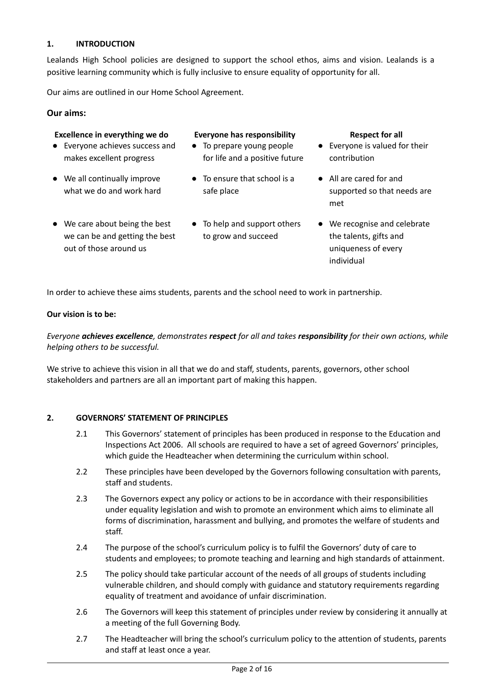#### **1. INTRODUCTION**

Lealands High School policies are designed to support the school ethos, aims and vision. Lealands is a positive learning community which is fully inclusive to ensure equality of opportunity for all.

Our aims are outlined in our Home School Agreement.

● Everyone achieves success and makes excellent progress

● We all continually improve what we do and work hard

out of those around us

#### **Our aims:**

### **Excellence in everything we do Everyone has responsibility Respect for all**

- To prepare young people for life and a positive future
- To ensure that school is a safe place
- We care about being the best we can be and getting the best ● To help and support others to grow and succeed

- Everyone is valued for their contribution
- All are cared for and supported so that needs are met
- We recognise and celebrate the talents, gifts and uniqueness of every individual

In order to achieve these aims students, parents and the school need to work in partnership.

#### **Our vision is to be:**

*Everyone achieves excellence, demonstrates respect for all and takes responsibility for their own actions, while helping others to be successful.*

We strive to achieve this vision in all that we do and staff, students, parents, governors, other school stakeholders and partners are all an important part of making this happen.

#### **2. GOVERNORS' STATEMENT OF PRINCIPLES**

- 2.1 This Governors' statement of principles has been produced in response to the Education and Inspections Act 2006. All schools are required to have a set of agreed Governors' principles, which guide the Headteacher when determining the curriculum within school.
- 2.2 These principles have been developed by the Governors following consultation with parents, staff and students.
- 2.3 The Governors expect any policy or actions to be in accordance with their responsibilities under equality legislation and wish to promote an environment which aims to eliminate all forms of discrimination, harassment and bullying, and promotes the welfare of students and staff.
- 2.4 The purpose of the school's curriculum policy is to fulfil the Governors' duty of care to students and employees; to promote teaching and learning and high standards of attainment.
- 2.5 The policy should take particular account of the needs of all groups of students including vulnerable children, and should comply with guidance and statutory requirements regarding equality of treatment and avoidance of unfair discrimination.
- 2.6 The Governors will keep this statement of principles under review by considering it annually at a meeting of the full Governing Body.
- 2.7 The Headteacher will bring the school's curriculum policy to the attention of students, parents and staff at least once a year.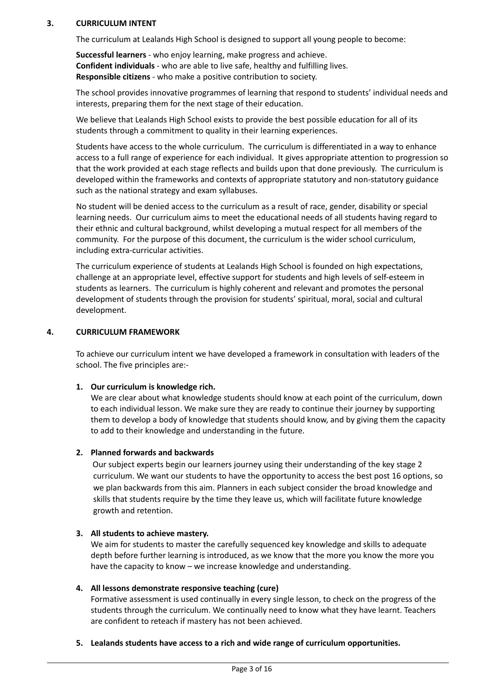#### **3. CURRICULUM INTENT**

The curriculum at Lealands High School is designed to support all young people to become:

**Successful learners** - who enjoy learning, make progress and achieve. **Confident individuals** - who are able to live safe, healthy and fulfilling lives. **Responsible citizens** - who make a positive contribution to society.

The school provides innovative programmes of learning that respond to students' individual needs and interests, preparing them for the next stage of their education.

We believe that Lealands High School exists to provide the best possible education for all of its students through a commitment to quality in their learning experiences.

Students have access to the whole curriculum. The curriculum is differentiated in a way to enhance access to a full range of experience for each individual. It gives appropriate attention to progression so that the work provided at each stage reflects and builds upon that done previously. The curriculum is developed within the frameworks and contexts of appropriate statutory and non-statutory guidance such as the national strategy and exam syllabuses.

No student will be denied access to the curriculum as a result of race, gender, disability or special learning needs. Our curriculum aims to meet the educational needs of all students having regard to their ethnic and cultural background, whilst developing a mutual respect for all members of the community. For the purpose of this document, the curriculum is the wider school curriculum, including extra-curricular activities.

The curriculum experience of students at Lealands High School is founded on high expectations, challenge at an appropriate level, effective support for students and high levels of self-esteem in students as learners. The curriculum is highly coherent and relevant and promotes the personal development of students through the provision for students' spiritual, moral, social and cultural development.

#### **4. CURRICULUM FRAMEWORK**

To achieve our curriculum intent we have developed a framework in consultation with leaders of the school. The five principles are:-

#### **1. Our curriculum is knowledge rich.**

We are clear about what knowledge students should know at each point of the curriculum, down to each individual lesson. We make sure they are ready to continue their journey by supporting them to develop a body of knowledge that students should know, and by giving them the capacity to add to their knowledge and understanding in the future.

#### **2. Planned forwards and backwards**

Our subject experts begin our learners journey using their understanding of the key stage 2 curriculum. We want our students to have the opportunity to access the best post 16 options, so we plan backwards from this aim. Planners in each subject consider the broad knowledge and skills that students require by the time they leave us, which will facilitate future knowledge growth and retention.

#### **3. All students to achieve mastery.**

We aim for students to master the carefully sequenced key knowledge and skills to adequate depth before further learning is introduced, as we know that the more you know the more you have the capacity to know – we increase knowledge and understanding.

#### **4. All lessons demonstrate responsive teaching (cure)**

Formative assessment is used continually in every single lesson, to check on the progress of the students through the curriculum. We continually need to know what they have learnt. Teachers are confident to reteach if mastery has not been achieved.

**5. Lealands students have access to a rich and wide range of curriculum opportunities.**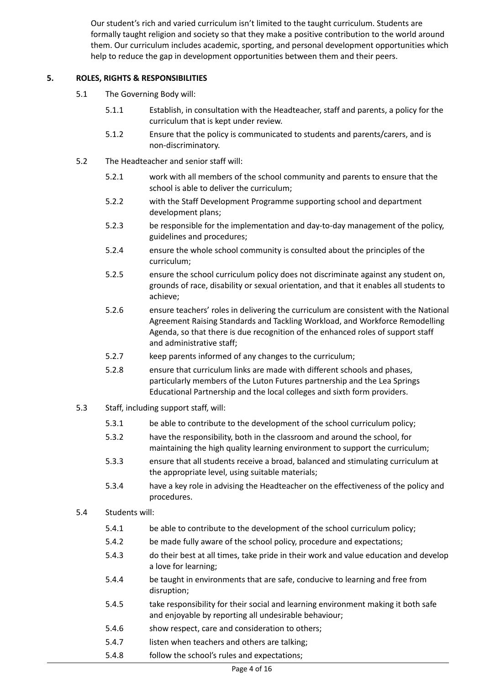Our student's rich and varied curriculum isn't limited to the taught curriculum. Students are formally taught religion and society so that they make a positive contribution to the world around them. Our curriculum includes academic, sporting, and personal development opportunities which help to reduce the gap in development opportunities between them and their peers.

#### **5. ROLES, RIGHTS & RESPONSIBILITIES**

- 5.1 The Governing Body will:
	- 5.1.1 Establish, in consultation with the Headteacher, staff and parents, a policy for the curriculum that is kept under review.
	- 5.1.2 Ensure that the policy is communicated to students and parents/carers, and is non-discriminatory.
- 5.2 The Headteacher and senior staff will:
	- 5.2.1 work with all members of the school community and parents to ensure that the school is able to deliver the curriculum;
	- 5.2.2 with the Staff Development Programme supporting school and department development plans;
	- 5.2.3 be responsible for the implementation and day-to-day management of the policy, guidelines and procedures;
	- 5.2.4 ensure the whole school community is consulted about the principles of the curriculum;
	- 5.2.5 ensure the school curriculum policy does not discriminate against any student on, grounds of race, disability or sexual orientation, and that it enables all students to achieve;
	- 5.2.6 ensure teachers' roles in delivering the curriculum are consistent with the National Agreement Raising Standards and Tackling Workload, and Workforce Remodelling Agenda, so that there is due recognition of the enhanced roles of support staff and administrative staff;
	- 5.2.7 keep parents informed of any changes to the curriculum;
	- 5.2.8 ensure that curriculum links are made with different schools and phases, particularly members of the Luton Futures partnership and the Lea Springs Educational Partnership and the local colleges and sixth form providers.
- 5.3 Staff, including support staff, will:
	- 5.3.1 be able to contribute to the development of the school curriculum policy;
	- 5.3.2 have the responsibility, both in the classroom and around the school, for maintaining the high quality learning environment to support the curriculum;
	- 5.3.3 ensure that all students receive a broad, balanced and stimulating curriculum at the appropriate level, using suitable materials;
	- 5.3.4 have a key role in advising the Headteacher on the effectiveness of the policy and procedures.
- 5.4 Students will:
	- 5.4.1 be able to contribute to the development of the school curriculum policy;
	- 5.4.2 be made fully aware of the school policy, procedure and expectations;
	- 5.4.3 do their best at all times, take pride in their work and value education and develop a love for learning;
	- 5.4.4 be taught in environments that are safe, conducive to learning and free from disruption;
	- 5.4.5 take responsibility for their social and learning environment making it both safe and enjoyable by reporting all undesirable behaviour;
	- 5.4.6 show respect, care and consideration to others;
	- 5.4.7 listen when teachers and others are talking;
	- 5.4.8 follow the school's rules and expectations;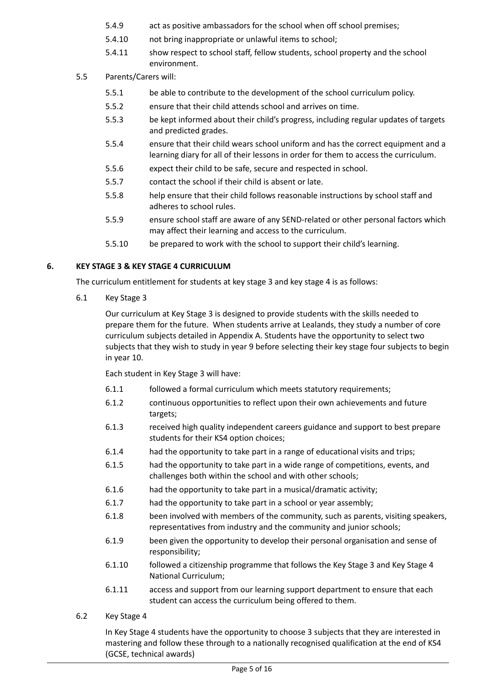- 5.4.9 act as positive ambassadors for the school when off school premises;
- 5.4.10 not bring inappropriate or unlawful items to school;
- 5.4.11 show respect to school staff, fellow students, school property and the school environment.
- 5.5 Parents/Carers will:
	- 5.5.1 be able to contribute to the development of the school curriculum policy.
	- 5.5.2 ensure that their child attends school and arrives on time.
	- 5.5.3 be kept informed about their child's progress, including regular updates of targets and predicted grades.
	- 5.5.4 ensure that their child wears school uniform and has the correct equipment and a learning diary for all of their lessons in order for them to access the curriculum.
	- 5.5.6 expect their child to be safe, secure and respected in school.
	- 5.5.7 contact the school if their child is absent or late.
	- 5.5.8 help ensure that their child follows reasonable instructions by school staff and adheres to school rules.
	- 5.5.9 ensure school staff are aware of any SEND-related or other personal factors which may affect their learning and access to the curriculum.
	- 5.5.10 be prepared to work with the school to support their child's learning.

### **6. KEY STAGE 3 & KEY STAGE 4 CURRICULUM**

The curriculum entitlement for students at key stage 3 and key stage 4 is as follows:

6.1 Key Stage 3

Our curriculum at Key Stage 3 is designed to provide students with the skills needed to prepare them for the future. When students arrive at Lealands, they study a number of core curriculum subjects detailed in Appendix A. Students have the opportunity to select two subjects that they wish to study in year 9 before selecting their key stage four subjects to begin in year 10.

Each student in Key Stage 3 will have:

- 6.1.1 followed a formal curriculum which meets statutory requirements;
- 6.1.2 continuous opportunities to reflect upon their own achievements and future targets;
- 6.1.3 received high quality independent careers guidance and support to best prepare students for their KS4 option choices;
- 6.1.4 had the opportunity to take part in a range of educational visits and trips;
- 6.1.5 had the opportunity to take part in a wide range of competitions, events, and challenges both within the school and with other schools;
- 6.1.6 had the opportunity to take part in a musical/dramatic activity;
- 6.1.7 had the opportunity to take part in a school or year assembly;
- 6.1.8 been involved with members of the community, such as parents, visiting speakers, representatives from industry and the community and junior schools;
- 6.1.9 been given the opportunity to develop their personal organisation and sense of responsibility;
- 6.1.10 followed a citizenship programme that follows the Key Stage 3 and Key Stage 4 National Curriculum;
- 6.1.11 access and support from our learning support department to ensure that each student can access the curriculum being offered to them.
- 6.2 Key Stage 4

In Key Stage 4 students have the opportunity to choose 3 subjects that they are interested in mastering and follow these through to a nationally recognised qualification at the end of KS4 (GCSE, technical awards)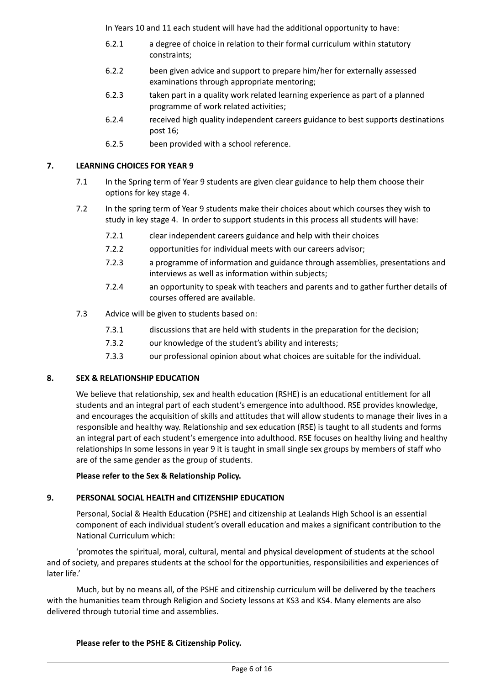In Years 10 and 11 each student will have had the additional opportunity to have:

- 6.2.1 a degree of choice in relation to their formal curriculum within statutory constraints;
- 6.2.2 been given advice and support to prepare him/her for externally assessed examinations through appropriate mentoring;
- 6.2.3 taken part in a quality work related learning experience as part of a planned programme of work related activities;
- 6.2.4 received high quality independent careers guidance to best supports destinations post 16;
- 6.2.5 been provided with a school reference.

#### **7. LEARNING CHOICES FOR YEAR 9**

- 7.1 In the Spring term of Year 9 students are given clear guidance to help them choose their options for key stage 4.
- 7.2 In the spring term of Year 9 students make their choices about which courses they wish to study in key stage 4. In order to support students in this process all students will have:
	- 7.2.1 clear independent careers guidance and help with their choices
	- 7.2.2 opportunities for individual meets with our careers advisor;
	- 7.2.3 a programme of information and guidance through assemblies, presentations and interviews as well as information within subjects;
	- 7.2.4 an opportunity to speak with teachers and parents and to gather further details of courses offered are available.
- 7.3 Advice will be given to students based on:
	- 7.3.1 discussions that are held with students in the preparation for the decision;
	- 7.3.2 our knowledge of the student's ability and interests;
	- 7.3.3 our professional opinion about what choices are suitable for the individual.

#### **8. SEX & RELATIONSHIP EDUCATION**

We believe that relationship, sex and health education (RSHE) is an educational entitlement for all students and an integral part of each student's emergence into adulthood. RSE provides knowledge, and encourages the acquisition of skills and attitudes that will allow students to manage their lives in a responsible and healthy way. Relationship and sex education (RSE) is taught to all students and forms an integral part of each student's emergence into adulthood. RSE focuses on healthy living and healthy relationships In some lessons in year 9 it is taught in small single sex groups by members of staff who are of the same gender as the group of students.

#### **Please refer to the Sex & Relationship Policy.**

#### **9. PERSONAL SOCIAL HEALTH and CITIZENSHIP EDUCATION**

Personal, Social & Health Education (PSHE) and citizenship at Lealands High School is an essential component of each individual student's overall education and makes a significant contribution to the National Curriculum which:

'promotes the spiritual, moral, cultural, mental and physical development of students at the school and of society, and prepares students at the school for the opportunities, responsibilities and experiences of later life.'

Much, but by no means all, of the PSHE and citizenship curriculum will be delivered by the teachers with the humanities team through Religion and Society lessons at KS3 and KS4. Many elements are also delivered through tutorial time and assemblies.

### **Please refer to the PSHE & Citizenship Policy.**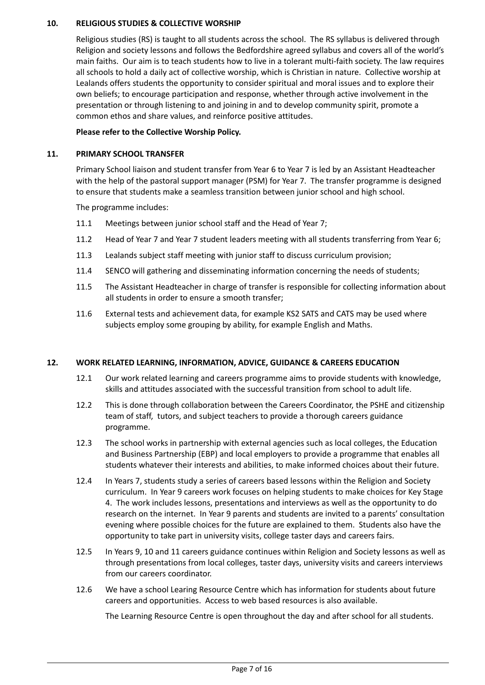#### **10. RELIGIOUS STUDIES & COLLECTIVE WORSHIP**

Religious studies (RS) is taught to all students across the school. The RS syllabus is delivered through Religion and society lessons and follows the Bedfordshire agreed syllabus and covers all of the world's main faiths. Our aim is to teach students how to live in a tolerant multi-faith society. The law requires all schools to hold a daily act of collective worship, which is Christian in nature. Collective worship at Lealands offers students the opportunity to consider spiritual and moral issues and to explore their own beliefs; to encourage participation and response, whether through active involvement in the presentation or through listening to and joining in and to develop community spirit, promote a common ethos and share values, and reinforce positive attitudes.

#### **Please refer to the Collective Worship Policy.**

#### **11. PRIMARY SCHOOL TRANSFER**

Primary School liaison and student transfer from Year 6 to Year 7 is led by an Assistant Headteacher with the help of the pastoral support manager (PSM) for Year 7. The transfer programme is designed to ensure that students make a seamless transition between junior school and high school.

The programme includes:

- 11.1 Meetings between junior school staff and the Head of Year 7;
- 11.2 Head of Year 7 and Year 7 student leaders meeting with all students transferring from Year 6;
- 11.3 Lealands subject staff meeting with junior staff to discuss curriculum provision;
- 11.4 SENCO will gathering and disseminating information concerning the needs of students;
- 11.5 The Assistant Headteacher in charge of transfer is responsible for collecting information about all students in order to ensure a smooth transfer;
- 11.6 External tests and achievement data, for example KS2 SATS and CATS may be used where subjects employ some grouping by ability, for example English and Maths.

#### **12. WORK RELATED LEARNING, INFORMATION, ADVICE, GUIDANCE & CAREERS EDUCATION**

- 12.1 Our work related learning and careers programme aims to provide students with knowledge, skills and attitudes associated with the successful transition from school to adult life.
- 12.2 This is done through collaboration between the Careers Coordinator, the PSHE and citizenship team of staff, tutors, and subject teachers to provide a thorough careers guidance programme.
- 12.3 The school works in partnership with external agencies such as local colleges, the Education and Business Partnership (EBP) and local employers to provide a programme that enables all students whatever their interests and abilities, to make informed choices about their future.
- 12.4 In Years 7, students study a series of careers based lessons within the Religion and Society curriculum. In Year 9 careers work focuses on helping students to make choices for Key Stage 4. The work includes lessons, presentations and interviews as well as the opportunity to do research on the internet. In Year 9 parents and students are invited to a parents' consultation evening where possible choices for the future are explained to them. Students also have the opportunity to take part in university visits, college taster days and careers fairs.
- 12.5 In Years 9, 10 and 11 careers guidance continues within Religion and Society lessons as well as through presentations from local colleges, taster days, university visits and careers interviews from our careers coordinator.
- 12.6 We have a school Learing Resource Centre which has information for students about future careers and opportunities. Access to web based resources is also available.

The Learning Resource Centre is open throughout the day and after school for all students.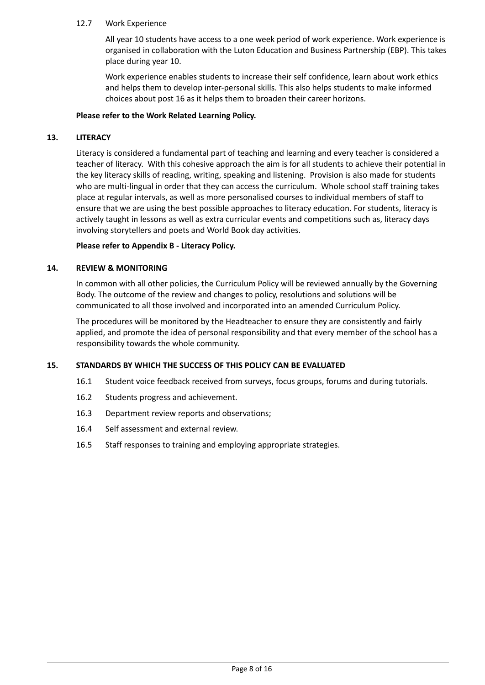#### 12.7 Work Experience

All year 10 students have access to a one week period of work experience. Work experience is organised in collaboration with the Luton Education and Business Partnership (EBP). This takes place during year 10.

Work experience enables students to increase their self confidence, learn about work ethics and helps them to develop inter-personal skills. This also helps students to make informed choices about post 16 as it helps them to broaden their career horizons.

#### **Please refer to the Work Related Learning Policy.**

#### **13. LITERACY**

Literacy is considered a fundamental part of teaching and learning and every teacher is considered a teacher of literacy. With this cohesive approach the aim is for all students to achieve their potential in the key literacy skills of reading, writing, speaking and listening. Provision is also made for students who are multi-lingual in order that they can access the curriculum. Whole school staff training takes place at regular intervals, as well as more personalised courses to individual members of staff to ensure that we are using the best possible approaches to literacy education. For students, literacy is actively taught in lessons as well as extra curricular events and competitions such as, literacy days involving storytellers and poets and World Book day activities.

#### **Please refer to Appendix B - Literacy Policy.**

#### **14. REVIEW & MONITORING**

In common with all other policies, the Curriculum Policy will be reviewed annually by the Governing Body. The outcome of the review and changes to policy, resolutions and solutions will be communicated to all those involved and incorporated into an amended Curriculum Policy.

The procedures will be monitored by the Headteacher to ensure they are consistently and fairly applied, and promote the idea of personal responsibility and that every member of the school has a responsibility towards the whole community.

#### **15. STANDARDS BY WHICH THE SUCCESS OF THIS POLICY CAN BE EVALUATED**

- 16.1 Student voice feedback received from surveys, focus groups, forums and during tutorials.
- 16.2 Students progress and achievement.
- 16.3 Department review reports and observations;
- 16.4 Self assessment and external review.
- 16.5 Staff responses to training and employing appropriate strategies.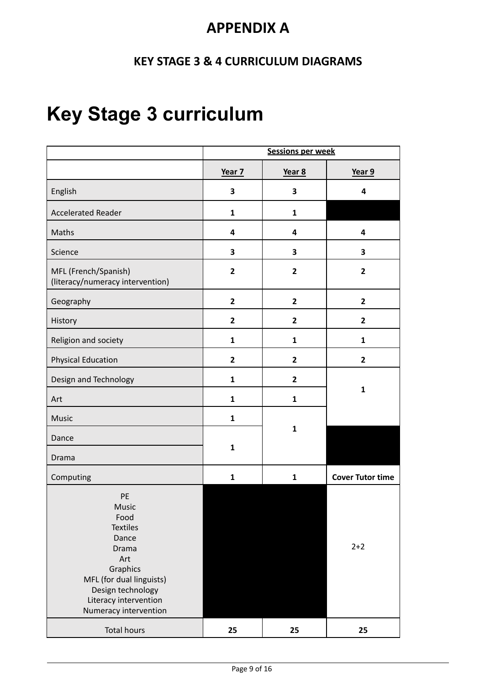## **APPENDIX A**

### **KEY STAGE 3 & 4 CURRICULUM DIAGRAMS**

# **Key Stage 3 curriculum**

|                                                                                                                                                                                       | <b>Sessions per week</b> |                         |                         |
|---------------------------------------------------------------------------------------------------------------------------------------------------------------------------------------|--------------------------|-------------------------|-------------------------|
|                                                                                                                                                                                       | Year 7                   | Year 8                  | Year 9                  |
| English                                                                                                                                                                               | 3                        | $\overline{\mathbf{3}}$ | 4                       |
| <b>Accelerated Reader</b>                                                                                                                                                             | $\mathbf{1}$             | $\mathbf{1}$            |                         |
| Maths                                                                                                                                                                                 | 4                        | $\overline{\mathbf{4}}$ | $\overline{\mathbf{4}}$ |
| Science                                                                                                                                                                               | 3                        | 3                       | 3                       |
| MFL (French/Spanish)<br>(literacy/numeracy intervention)                                                                                                                              | $\overline{2}$           | $\overline{2}$          | $\overline{2}$          |
| Geography                                                                                                                                                                             | $\overline{2}$           | $\overline{2}$          | $\overline{2}$          |
| History                                                                                                                                                                               | $\overline{2}$           | $\overline{2}$          | $\overline{2}$          |
| Religion and society                                                                                                                                                                  | $\mathbf{1}$             | $\mathbf{1}$            | $\mathbf{1}$            |
| <b>Physical Education</b>                                                                                                                                                             | $\overline{2}$           | $\overline{2}$          | $\overline{2}$          |
| Design and Technology                                                                                                                                                                 | $\mathbf{1}$             | $\overline{2}$          |                         |
| Art                                                                                                                                                                                   | $\mathbf{1}$             | $\mathbf{1}$            | $\mathbf{1}$            |
| Music                                                                                                                                                                                 | $\mathbf{1}$             |                         |                         |
| Dance                                                                                                                                                                                 |                          | $\mathbf{1}$            |                         |
| Drama                                                                                                                                                                                 | $\mathbf{1}$             |                         |                         |
| Computing                                                                                                                                                                             | $\mathbf{1}$             | $\mathbf{1}$            | <b>Cover Tutor time</b> |
| PE<br><b>Music</b><br>Food<br><b>Textiles</b><br>Dance<br>Drama<br>Art<br>Graphics<br>MFL (for dual linguists)<br>Design technology<br>Literacy intervention<br>Numeracy intervention |                          |                         | $2 + 2$                 |
| <b>Total hours</b>                                                                                                                                                                    | 25                       | 25                      | 25                      |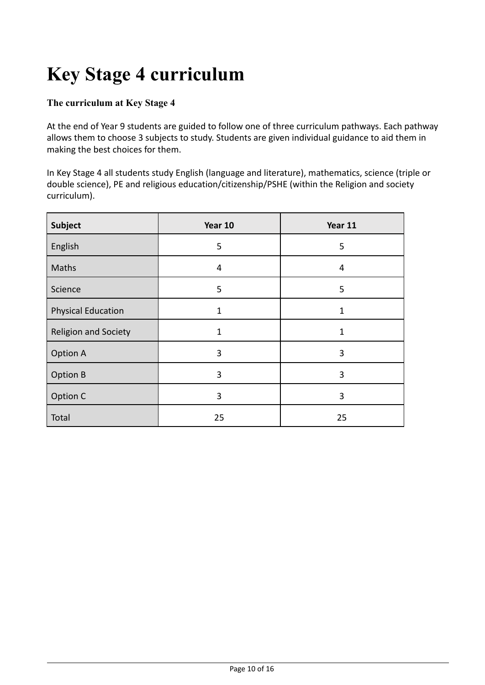# **Key Stage 4 curriculum**

### **The curriculum at Key Stage 4**

At the end of Year 9 students are guided to follow one of three curriculum pathways. Each pathway allows them to choose 3 subjects to study. Students are given individual guidance to aid them in making the best choices for them.

In Key Stage 4 all students study English (language and literature), mathematics, science (triple or double science), PE and religious education/citizenship/PSHE (within the Religion and society curriculum).

| <b>Subject</b>            | Year 10      | Year 11      |
|---------------------------|--------------|--------------|
| English                   | 5            | 5            |
| Maths                     | 4            | 4            |
| Science                   | 5            | 5            |
| <b>Physical Education</b> | $\mathbf{1}$ | $\mathbf{1}$ |
| Religion and Society      | $\mathbf 1$  | $\mathbf{1}$ |
| <b>Option A</b>           | 3            | 3            |
| <b>Option B</b>           | 3            | 3            |
| Option C                  | 3            | 3            |
| Total                     | 25           | 25           |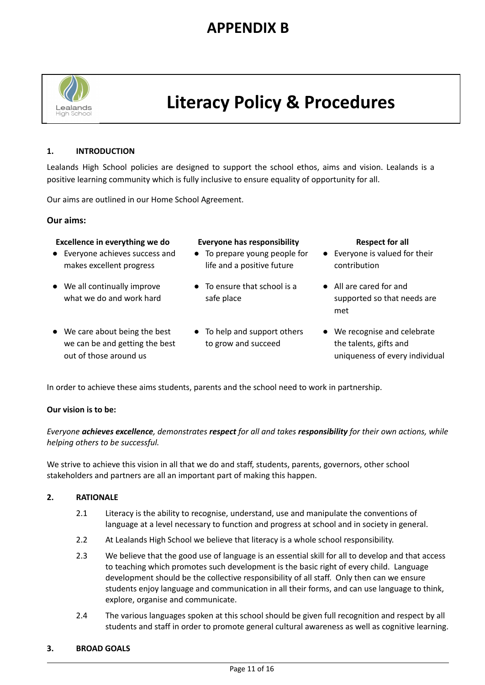# **APPENDIX B**



# **Literacy Policy & Procedures**

#### **1. INTRODUCTION**

Lealands High School policies are designed to support the school ethos, aims and vision. Lealands is a positive learning community which is fully inclusive to ensure equality of opportunity for all.

Our aims are outlined in our Home School Agreement.

#### **Our aims:**

### **Excellence in everything we do Everyone has responsibility Respect for all**

- Everyone achieves success and makes excellent progress
- We all continually improve what we do and work hard
- We care about being the best we can be and getting the best out of those around us

- To prepare young people for life and a positive future
- To ensure that school is a safe place
- To help and support others to grow and succeed

- Everyone is valued for their contribution
- All are cared for and supported so that needs are met
- We recognise and celebrate the talents, gifts and uniqueness of every individual

In order to achieve these aims students, parents and the school need to work in partnership.

#### **Our vision is to be:**

*Everyone achieves excellence, demonstrates respect for all and takes responsibility for their own actions, while helping others to be successful.*

We strive to achieve this vision in all that we do and staff, students, parents, governors, other school stakeholders and partners are all an important part of making this happen.

#### **2. RATIONALE**

- 2.1 Literacy is the ability to recognise, understand, use and manipulate the conventions of language at a level necessary to function and progress at school and in society in general.
- 2.2 At Lealands High School we believe that literacy is a whole school responsibility.
- 2.3 We believe that the good use of language is an essential skill for all to develop and that access to teaching which promotes such development is the basic right of every child. Language development should be the collective responsibility of all staff. Only then can we ensure students enjoy language and communication in all their forms, and can use language to think, explore, organise and communicate.
- 2.4 The various languages spoken at this school should be given full recognition and respect by all students and staff in order to promote general cultural awareness as well as cognitive learning.

#### **3. BROAD GOALS**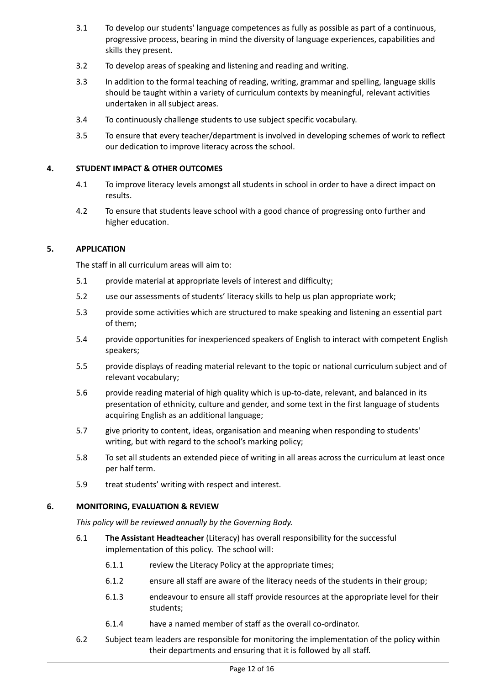- 3.1 To develop our students' language competences as fully as possible as part of a continuous, progressive process, bearing in mind the diversity of language experiences, capabilities and skills they present.
- 3.2 To develop areas of speaking and listening and reading and writing.
- 3.3 In addition to the formal teaching of reading, writing, grammar and spelling, language skills should be taught within a variety of curriculum contexts by meaningful, relevant activities undertaken in all subject areas.
- 3.4 To continuously challenge students to use subject specific vocabulary.
- 3.5 To ensure that every teacher/department is involved in developing schemes of work to reflect our dedication to improve literacy across the school.

#### **4. STUDENT IMPACT & OTHER OUTCOMES**

- 4.1 To improve literacy levels amongst all students in school in order to have a direct impact on results.
- 4.2 To ensure that students leave school with a good chance of progressing onto further and higher education.

#### **5. APPLICATION**

The staff in all curriculum areas will aim to:

- 5.1 provide material at appropriate levels of interest and difficulty;
- 5.2 use our assessments of students' literacy skills to help us plan appropriate work;
- 5.3 provide some activities which are structured to make speaking and listening an essential part of them;
- 5.4 provide opportunities for inexperienced speakers of English to interact with competent English speakers;
- 5.5 provide displays of reading material relevant to the topic or national curriculum subject and of relevant vocabulary;
- 5.6 provide reading material of high quality which is up-to-date, relevant, and balanced in its presentation of ethnicity, culture and gender, and some text in the first language of students acquiring English as an additional language;
- 5.7 give priority to content, ideas, organisation and meaning when responding to students' writing, but with regard to the school's marking policy;
- 5.8 To set all students an extended piece of writing in all areas across the curriculum at least once per half term.
- 5.9 treat students' writing with respect and interest.

#### **6. MONITORING, EVALUATION & REVIEW**

*This policy will be reviewed annually by the Governing Body.*

- 6.1 **The Assistant Headteacher** (Literacy) has overall responsibility for the successful implementation of this policy. The school will:
	- 6.1.1 review the Literacy Policy at the appropriate times;
	- 6.1.2 ensure all staff are aware of the literacy needs of the students in their group;
	- 6.1.3 endeavour to ensure all staff provide resources at the appropriate level for their students;
	- 6.1.4 have a named member of staff as the overall co-ordinator.
- 6.2 Subject team leaders are responsible for monitoring the implementation of the policy within their departments and ensuring that it is followed by all staff.